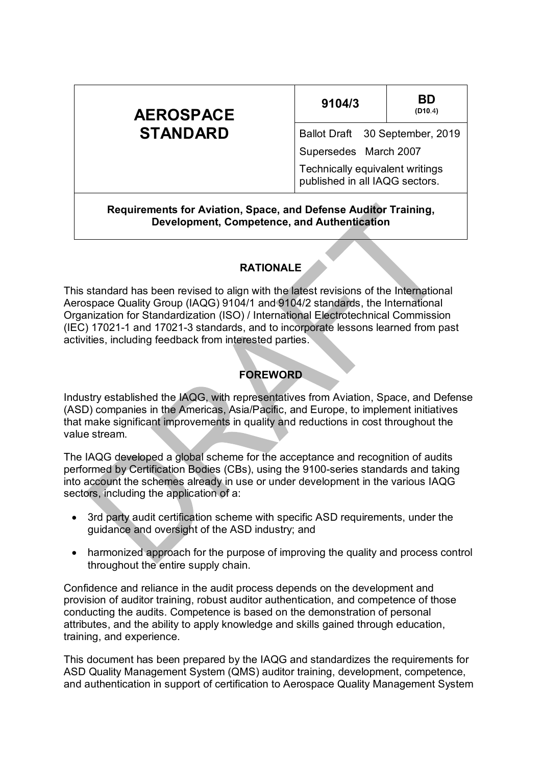| <b>AEROSPACE</b>                                                                                               | 9104/3                                                            | BD<br>(D10.4) |
|----------------------------------------------------------------------------------------------------------------|-------------------------------------------------------------------|---------------|
| <b>STANDARD</b>                                                                                                | Ballot Draft 30 September, 2019                                   |               |
|                                                                                                                | Supersedes March 2007                                             |               |
|                                                                                                                | Technically equivalent writings<br>published in all IAQG sectors. |               |
| Requirements for Aviation, Space, and Defense Auditor Training,<br>Development, Competence, and Authentication |                                                                   |               |

#### **RATIONALE**

This standard has been revised to align with the latest revisions of the International Aerospace Quality Group (IAQG) 9104/1 and 9104/2 standards, the International Organization for Standardization (ISO) / International Electrotechnical Commission (IEC) 17021-1 and 17021-3 standards, and to incorporate lessons learned from past activities, including feedback from interested parties.

#### **FOREWORD**

Industry established the IAQG, with representatives from Aviation, Space, and Defense (ASD) companies in the Americas, Asia/Pacific, and Europe, to implement initiatives that make significant improvements in quality and reductions in cost throughout the value stream.

The IAQG developed a global scheme for the acceptance and recognition of audits performed by Certification Bodies (CBs), using the 9100-series standards and taking into account the schemes already in use or under development in the various IAQG sectors, including the application of a:

- 3rd party audit certification scheme with specific ASD requirements, under the guidance and oversight of the ASD industry; and
- harmonized approach for the purpose of improving the quality and process control throughout the entire supply chain.

Confidence and reliance in the audit process depends on the development and provision of auditor training, robust auditor authentication, and competence of those conducting the audits. Competence is based on the demonstration of personal attributes, and the ability to apply knowledge and skills gained through education, training, and experience.

This document has been prepared by the IAQG and standardizes the requirements for ASD Quality Management System (QMS) auditor training, development, competence, and authentication in support of certification to Aerospace Quality Management System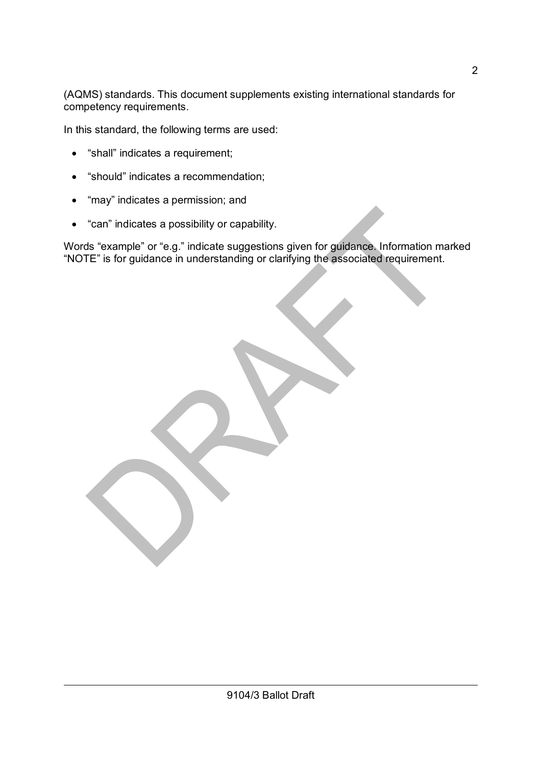(AQMS) standards. This document supplements existing international standards for competency requirements.

In this standard, the following terms are used:

- "shall" indicates a requirement;
- "should" indicates a recommendation;
- "may" indicates a permission; and
- "can" indicates a possibility or capability.

Words "example" or "e.g." indicate suggestions given for guidance. Information marked "NOTE" is for guidance in understanding or clarifying the associated requirement.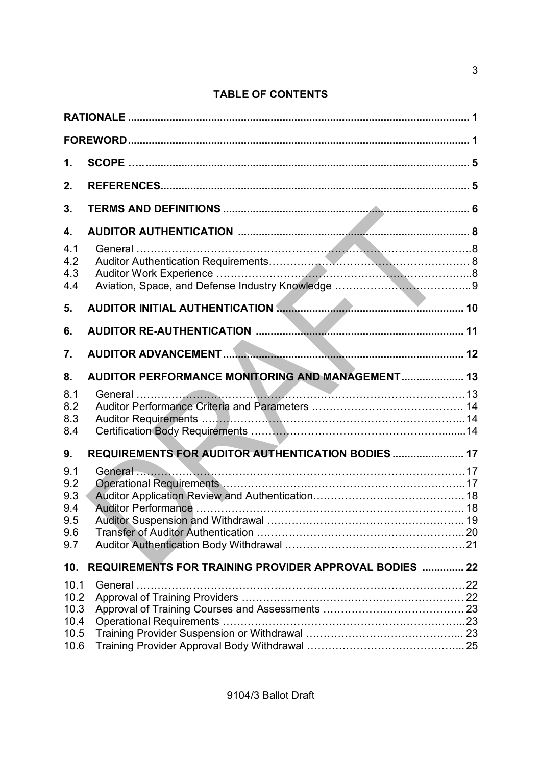# **TABLE OF CONTENTS**

| 1.                                            |                                                                |  |
|-----------------------------------------------|----------------------------------------------------------------|--|
| 2.                                            |                                                                |  |
| 3.                                            |                                                                |  |
| 4.<br>4.1<br>4.2<br>4.3                       |                                                                |  |
| 4.4<br>5.                                     | AUDITOR INITIAL AUTHENTICATION <b>Manufacture Community</b> 10 |  |
| 6.                                            |                                                                |  |
| 7.                                            |                                                                |  |
| 8.                                            | AUDITOR PERFORMANCE MONITORING AND MANAGEMENT 13               |  |
| 8.1<br>8.2<br>8.3<br>8.4                      |                                                                |  |
|                                               |                                                                |  |
| 9.                                            | REQUIREMENTS FOR AUDITOR AUTHENTICATION BODIES  17             |  |
| 9.1<br>9.2<br>9.3<br>9.4<br>9.5<br>9.6<br>9.7 |                                                                |  |
| 10.                                           | <b>REQUIREMENTS FOR TRAINING PROVIDER APPROVAL BODIES  22</b>  |  |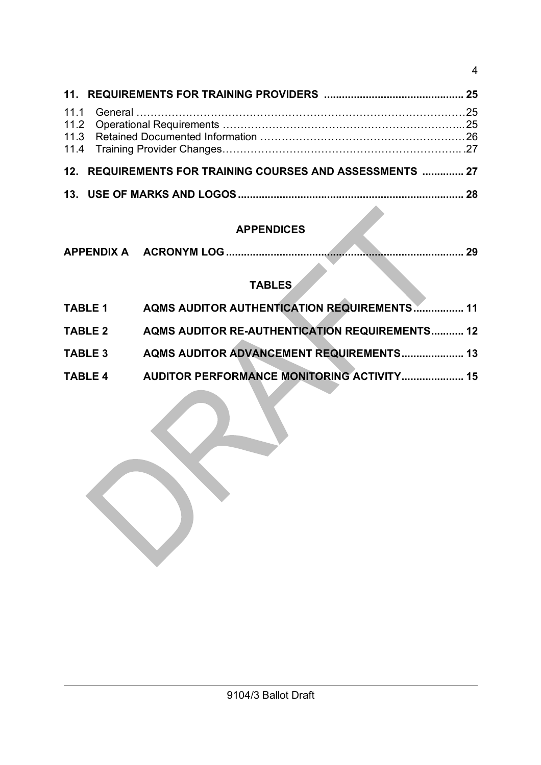| 12. REQUIREMENTS FOR TRAINING COURSES AND ASSESSMENTS  27                                                       |  |
|-----------------------------------------------------------------------------------------------------------------|--|
|                                                                                                                 |  |
| the contract of the contract of the contract of the contract of the contract of the contract of the contract of |  |

# **APPENDICES**

| APPENDIX A |  |  |  |  |  |
|------------|--|--|--|--|--|
|------------|--|--|--|--|--|

# **TABLES**

| <b>AQMS AUDITOR AUTHENTICATION REQUIREMENTS 11</b>    |
|-------------------------------------------------------|
| <b>AQMS AUDITOR RE-AUTHENTICATION REQUIREMENTS 12</b> |
| <b>AQMS AUDITOR ADVANCEMENT REQUIREMENTS 13</b>       |
| <b>AUDITOR PERFORMANCE MONITORING ACTIVITY 15</b>     |
|                                                       |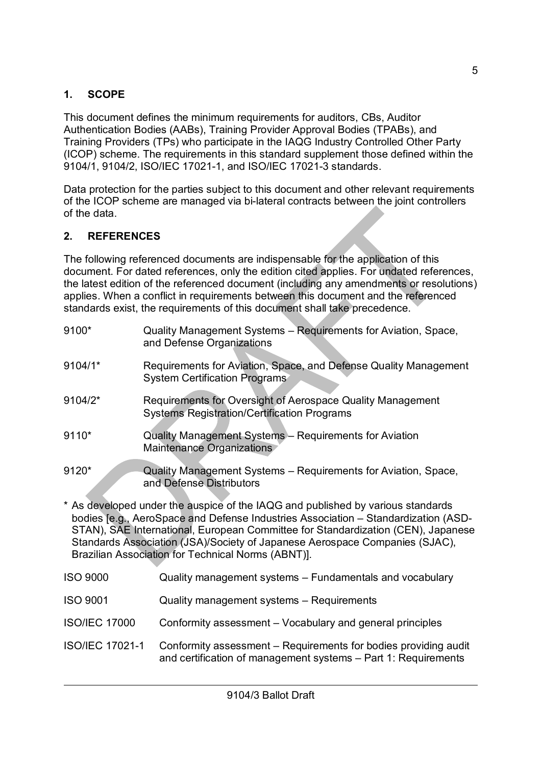# **1. SCOPE**

This document defines the minimum requirements for auditors, CBs, Auditor Authentication Bodies (AABs), Training Provider Approval Bodies (TPABs), and Training Providers (TPs) who participate in the IAQG Industry Controlled Other Party (ICOP) scheme. The requirements in this standard supplement those defined within the 9104/1, 9104/2, ISO/IEC 17021-1, and ISO/IEC 17021-3 standards.

Data protection for the parties subject to this document and other relevant requirements of the ICOP scheme are managed via bi-lateral contracts between the joint controllers of the data.

### **2. REFERENCES**

The following referenced documents are indispensable for the application of this document. For dated references, only the edition cited applies. For undated references, the latest edition of the referenced document (including any amendments or resolutions) applies. When a conflict in requirements between this document and the referenced standards exist, the requirements of this document shall take precedence.

| 9100*                  | Quality Management Systems - Requirements for Aviation, Space,<br>and Defense Organizations                                                                                                                                                                                                                                                                                                    |
|------------------------|------------------------------------------------------------------------------------------------------------------------------------------------------------------------------------------------------------------------------------------------------------------------------------------------------------------------------------------------------------------------------------------------|
| 9104/1*                | Requirements for Aviation, Space, and Defense Quality Management<br><b>System Certification Programs</b>                                                                                                                                                                                                                                                                                       |
| 9104/2*                | Requirements for Oversight of Aerospace Quality Management<br><b>Systems Registration/Certification Programs</b>                                                                                                                                                                                                                                                                               |
| 9110*                  | Quality Management Systems - Requirements for Aviation<br>Maintenance Organizations                                                                                                                                                                                                                                                                                                            |
| 9120*                  | Quality Management Systems – Requirements for Aviation, Space,<br>and Defense Distributors                                                                                                                                                                                                                                                                                                     |
|                        | * As developed under the auspice of the IAQG and published by various standards<br>bodies [e.g., AeroSpace and Defense Industries Association - Standardization (ASD-<br>STAN), SAE International, European Committee for Standardization (CEN), Japanese<br>Standards Association (JSA)/Society of Japanese Aerospace Companies (SJAC),<br>Brazilian Association for Technical Norms (ABNT)]. |
| <b>ISO 9000</b>        | Quality management systems - Fundamentals and vocabulary                                                                                                                                                                                                                                                                                                                                       |
| <b>ISO 9001</b>        | Quality management systems - Requirements                                                                                                                                                                                                                                                                                                                                                      |
| <b>ISO/IEC 17000</b>   | Conformity assessment - Vocabulary and general principles                                                                                                                                                                                                                                                                                                                                      |
| <b>ISO/IEC 17021-1</b> | Conformity assessment - Requirements for bodies providing audit<br>and certification of management systems - Part 1: Requirements                                                                                                                                                                                                                                                              |
|                        |                                                                                                                                                                                                                                                                                                                                                                                                |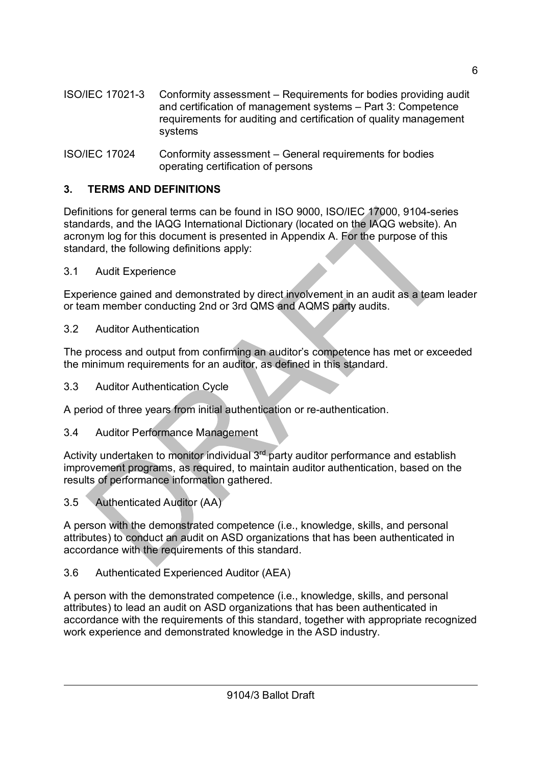- ISO/IEC 17021-3 Conformity assessment Requirements for bodies providing audit and certification of management systems – Part 3: Competence requirements for auditing and certification of quality management systems
- ISO/IEC 17024 Conformity assessment General requirements for bodies operating certification of persons

### **3. TERMS AND DEFINITIONS**

Definitions for general terms can be found in ISO 9000, ISO/IEC 17000, 9104-series standards, and the IAQG International Dictionary (located on the IAQG website). An acronym log for this document is presented in Appendix A. For the purpose of this standard, the following definitions apply:

3.1 Audit Experience

Experience gained and demonstrated by direct involvement in an audit as a team leader or team member conducting 2nd or 3rd QMS and AQMS party audits.

3.2 Auditor Authentication

The process and output from confirming an auditor's competence has met or exceeded the minimum requirements for an auditor, as defined in this standard.

3.3 Auditor Authentication Cycle

A period of three years from initial authentication or re-authentication.

3.4 Auditor Performance Management

Activity undertaken to monitor individual 3<sup>rd</sup> party auditor performance and establish improvement programs, as required, to maintain auditor authentication, based on the results of performance information gathered.

3.5 Authenticated Auditor (AA)

A person with the demonstrated competence (i.e., knowledge, skills, and personal attributes) to conduct an audit on ASD organizations that has been authenticated in accordance with the requirements of this standard.

3.6 Authenticated Experienced Auditor (AEA)

A person with the demonstrated competence (i.e., knowledge, skills, and personal attributes) to lead an audit on ASD organizations that has been authenticated in accordance with the requirements of this standard, together with appropriate recognized work experience and demonstrated knowledge in the ASD industry.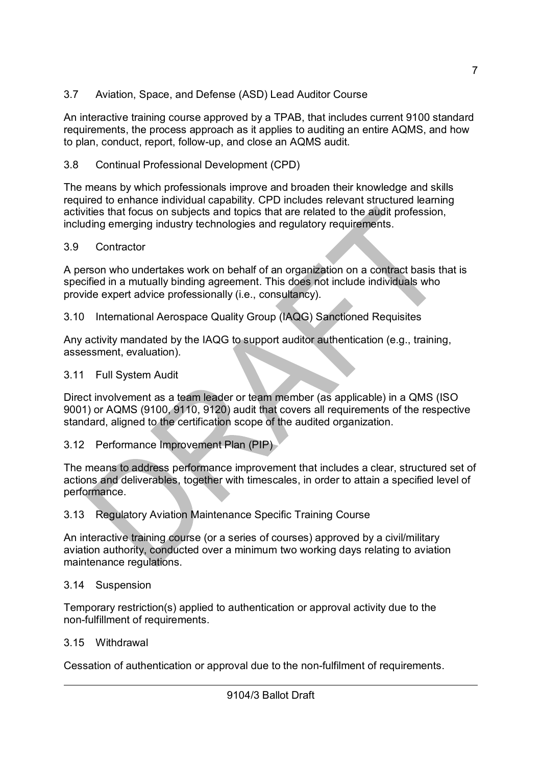3.7 Aviation, Space, and Defense (ASD) Lead Auditor Course

An interactive training course approved by a TPAB, that includes current 9100 standard requirements, the process approach as it applies to auditing an entire AQMS, and how to plan, conduct, report, follow-up, and close an AQMS audit.

# 3.8 Continual Professional Development (CPD)

The means by which professionals improve and broaden their knowledge and skills required to enhance individual capability. CPD includes relevant structured learning activities that focus on subjects and topics that are related to the audit profession, including emerging industry technologies and regulatory requirements.

# 3.9 Contractor

A person who undertakes work on behalf of an organization on a contract basis that is specified in a mutually binding agreement. This does not include individuals who provide expert advice professionally (i.e., consultancy).

3.10 International Aerospace Quality Group (IAQG) Sanctioned Requisites

Any activity mandated by the IAQG to support auditor authentication (e.g., training, assessment, evaluation).

# 3.11 Full System Audit

Direct involvement as a team leader or team member (as applicable) in a QMS (ISO 9001) or AQMS (9100, 9110, 9120) audit that covers all requirements of the respective standard, aligned to the certification scope of the audited organization.

3.12 Performance Improvement Plan (PIP)

The means to address performance improvement that includes a clear, structured set of actions and deliverables, together with timescales, in order to attain a specified level of performance.

# 3.13 Regulatory Aviation Maintenance Specific Training Course

An interactive training course (or a series of courses) approved by a civil/military aviation authority, conducted over a minimum two working days relating to aviation maintenance regulations.

# 3.14 Suspension

Temporary restriction(s) applied to authentication or approval activity due to the non-fulfillment of requirements.

# 3.15 Withdrawal

Cessation of authentication or approval due to the non-fulfilment of requirements.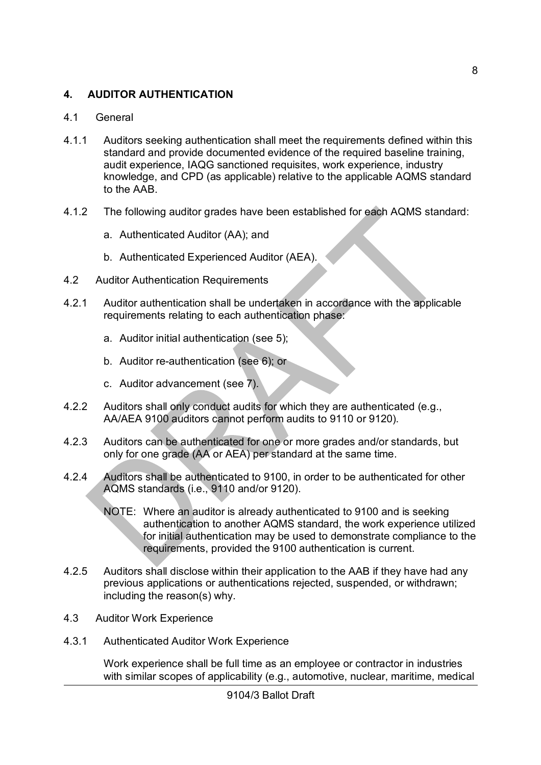### **4. AUDITOR AUTHENTICATION**

#### 4.1 General

- 4.1.1 Auditors seeking authentication shall meet the requirements defined within this standard and provide documented evidence of the required baseline training, audit experience, IAQG sanctioned requisites, work experience, industry knowledge, and CPD (as applicable) relative to the applicable AQMS standard to the AAB.
- 4.1.2 The following auditor grades have been established for each AQMS standard:
	- a. Authenticated Auditor (AA); and
	- b. Authenticated Experienced Auditor (AEA).
- 4.2 Auditor Authentication Requirements
- 4.2.1 Auditor authentication shall be undertaken in accordance with the applicable requirements relating to each authentication phase:
	- a. Auditor initial authentication (see 5);
	- b. Auditor re-authentication (see 6); or
	- c. Auditor advancement (see 7).
- 4.2.2 Auditors shall only conduct audits for which they are authenticated (e.g., AA/AEA 9100 auditors cannot perform audits to 9110 or 9120).
- 4.2.3 Auditors can be authenticated for one or more grades and/or standards, but only for one grade (AA or AEA) per standard at the same time.
- 4.2.4 Auditors shall be authenticated to 9100, in order to be authenticated for other AQMS standards (i.e., 9110 and/or 9120).
	- NOTE: Where an auditor is already authenticated to 9100 and is seeking authentication to another AQMS standard, the work experience utilized for initial authentication may be used to demonstrate compliance to the requirements, provided the 9100 authentication is current.
- 4.2.5 Auditors shall disclose within their application to the AAB if they have had any previous applications or authentications rejected, suspended, or withdrawn; including the reason(s) why.
- 4.3 Auditor Work Experience
- 4.3.1 Authenticated Auditor Work Experience

Work experience shall be full time as an employee or contractor in industries with similar scopes of applicability (e.g., automotive, nuclear, maritime, medical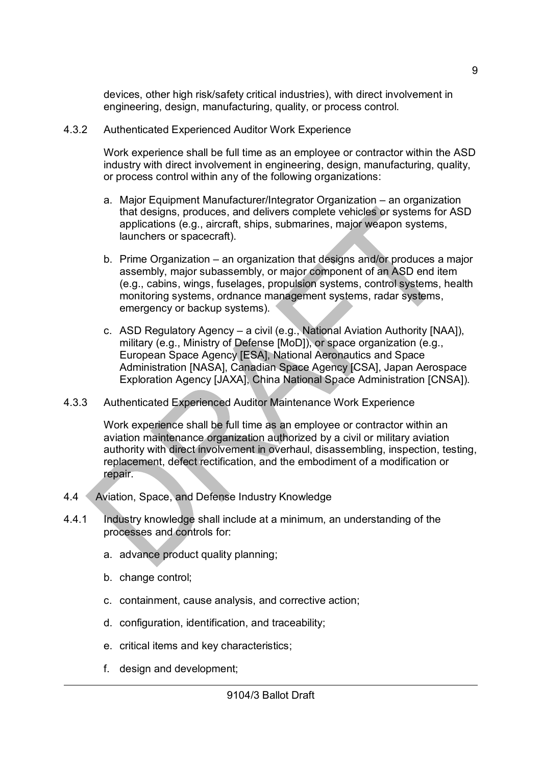devices, other high risk/safety critical industries), with direct involvement in engineering, design, manufacturing, quality, or process control.

4.3.2 Authenticated Experienced Auditor Work Experience

Work experience shall be full time as an employee or contractor within the ASD industry with direct involvement in engineering, design, manufacturing, quality, or process control within any of the following organizations:

- a. Major Equipment Manufacturer/Integrator Organization an organization that designs, produces, and delivers complete vehicles or systems for ASD applications (e.g., aircraft, ships, submarines, major weapon systems, launchers or spacecraft).
- b. Prime Organization an organization that designs and/or produces a major assembly, major subassembly, or major component of an ASD end item (e.g., cabins, wings, fuselages, propulsion systems, control systems, health monitoring systems, ordnance management systems, radar systems, emergency or backup systems).
- c. ASD Regulatory Agency a civil (e.g., National Aviation Authority [NAA]), military (e.g., Ministry of Defense [MoD]), or space organization (e.g., European Space Agency [ESA], National Aeronautics and Space Administration [NASA], Canadian Space Agency [CSA], Japan Aerospace Exploration Agency [JAXA], China National Space Administration [CNSA]).
- 4.3.3 Authenticated Experienced Auditor Maintenance Work Experience

Work experience shall be full time as an employee or contractor within an aviation maintenance organization authorized by a civil or military aviation authority with direct involvement in overhaul, disassembling, inspection, testing, replacement, defect rectification, and the embodiment of a modification or repair.

- 4.4 Aviation, Space, and Defense Industry Knowledge
- 4.4.1 Industry knowledge shall include at a minimum, an understanding of the processes and controls for:
	- a. advance product quality planning;
	- b. change control;
	- c. containment, cause analysis, and corrective action;
	- d. configuration, identification, and traceability;
	- e. critical items and key characteristics;
	- f. design and development;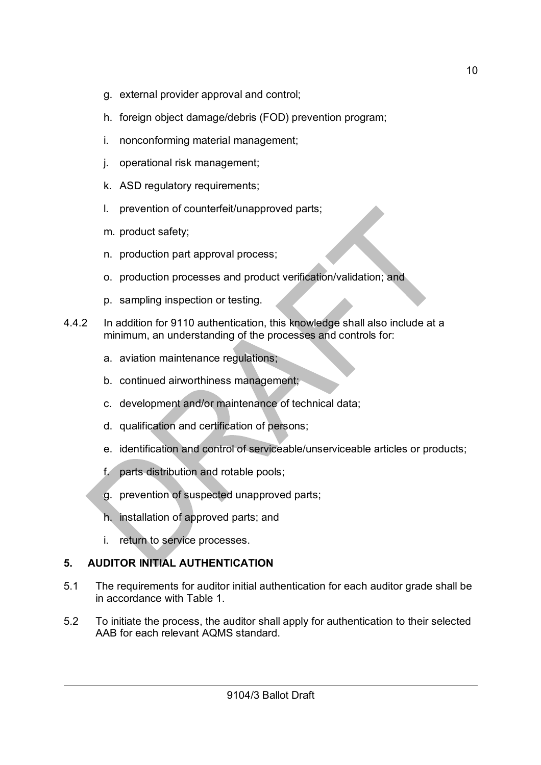- g. external provider approval and control;
- h. foreign object damage/debris (FOD) prevention program;
- i. nonconforming material management;
- j. operational risk management;
- k. ASD regulatory requirements;
- l. prevention of counterfeit/unapproved parts;
- m. product safety;
- n. production part approval process;
- o. production processes and product verification/validation; and
- p. sampling inspection or testing.
- 4.4.2 In addition for 9110 authentication, this knowledge shall also include at a minimum, an understanding of the processes and controls for:
	- a. aviation maintenance regulations;
	- b. continued airworthiness management;
	- c. development and/or maintenance of technical data;
	- d. qualification and certification of persons;
	- e. identification and control of serviceable/unserviceable articles or products;
	- f. parts distribution and rotable pools;
	- g. prevention of suspected unapproved parts;
	- h. installation of approved parts; and
	- i. return to service processes.

# **5. AUDITOR INITIAL AUTHENTICATION**

- 5.1 The requirements for auditor initial authentication for each auditor grade shall be in accordance with Table 1.
- 5.2 To initiate the process, the auditor shall apply for authentication to their selected AAB for each relevant AQMS standard.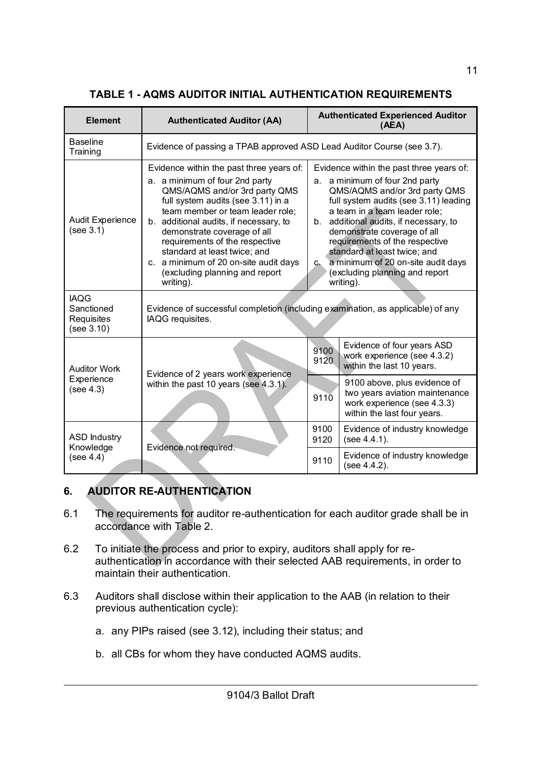| <b>Element</b>                                        | <b>Authenticated Auditor (AA)</b>                                                                                                                                                                                                                                                                                                                                                                                           |                                                                                                                                                                                                                                                                                                                                                                                                                                  | <b>Authenticated Experienced Auditor</b><br>(AEA)                                                                            |  |
|-------------------------------------------------------|-----------------------------------------------------------------------------------------------------------------------------------------------------------------------------------------------------------------------------------------------------------------------------------------------------------------------------------------------------------------------------------------------------------------------------|----------------------------------------------------------------------------------------------------------------------------------------------------------------------------------------------------------------------------------------------------------------------------------------------------------------------------------------------------------------------------------------------------------------------------------|------------------------------------------------------------------------------------------------------------------------------|--|
| <b>Baseline</b><br>Training                           | Evidence of passing a TPAB approved ASD Lead Auditor Course (see 3.7).                                                                                                                                                                                                                                                                                                                                                      |                                                                                                                                                                                                                                                                                                                                                                                                                                  |                                                                                                                              |  |
| <b>Audit Experience</b><br>(see 3.1)                  | Evidence within the past three years of:<br>a. a minimum of four 2nd party<br>QMS/AQMS and/or 3rd party QMS<br>full system audits (see 3.11) in a<br>team member or team leader role;<br>additional audits, if necessary, to<br>b.<br>demonstrate coverage of all<br>requirements of the respective<br>standard at least twice; and<br>c. a minimum of 20 on-site audit days<br>(excluding planning and report<br>writing). | Evidence within the past three years of:<br>a. a minimum of four 2nd party<br>QMS/AQMS and/or 3rd party QMS<br>full system audits (see 3.11) leading<br>a team in a team leader role;<br>b. additional audits, if necessary, to<br>demonstrate coverage of all<br>requirements of the respective<br>standard at least twice; and<br>a minimum of 20 on-site audit days<br>$C_{h}$<br>(excluding planning and report<br>writing). |                                                                                                                              |  |
| <b>IAQG</b><br>Sanctioned<br>Requisites<br>(see 3.10) | Evidence of successful completion (including examination, as applicable) of any<br>IAQG requisites.                                                                                                                                                                                                                                                                                                                         |                                                                                                                                                                                                                                                                                                                                                                                                                                  |                                                                                                                              |  |
| <b>Auditor Work</b>                                   |                                                                                                                                                                                                                                                                                                                                                                                                                             | 9100<br>9120                                                                                                                                                                                                                                                                                                                                                                                                                     | Evidence of four years ASD<br>work experience (see 4.3.2)<br>within the last 10 years.                                       |  |
| Experience<br>(see 4.3)                               | Evidence of 2 years work experience<br>within the past 10 years (see 4.3.1).                                                                                                                                                                                                                                                                                                                                                | 9110                                                                                                                                                                                                                                                                                                                                                                                                                             | 9100 above, plus evidence of<br>two years aviation maintenance<br>work experience (see 4.3.3)<br>within the last four years. |  |
| <b>ASD Industry</b><br>Knowledge                      |                                                                                                                                                                                                                                                                                                                                                                                                                             | 9100<br>9120                                                                                                                                                                                                                                                                                                                                                                                                                     | Evidence of industry knowledge<br>(see 4.4.1).                                                                               |  |
| (see 4.4)                                             | Evidence not required.                                                                                                                                                                                                                                                                                                                                                                                                      | 9110                                                                                                                                                                                                                                                                                                                                                                                                                             | Evidence of industry knowledge<br>(see 4.4.2).                                                                               |  |

### **TABLE 1 - AQMS AUDITOR INITIAL AUTHENTICATION REQUIREMENTS**

# **6. AUDITOR RE-AUTHENTICATION**

- 6.1 The requirements for auditor re-authentication for each auditor grade shall be in accordance with Table 2.
- 6.2 To initiate the process and prior to expiry, auditors shall apply for reauthentication in accordance with their selected AAB requirements, in order to maintain their authentication.
- 6.3 Auditors shall disclose within their application to the AAB (in relation to their previous authentication cycle):
	- a. any PIPs raised (see 3.12), including their status; and
	- b. all CBs for whom they have conducted AQMS audits.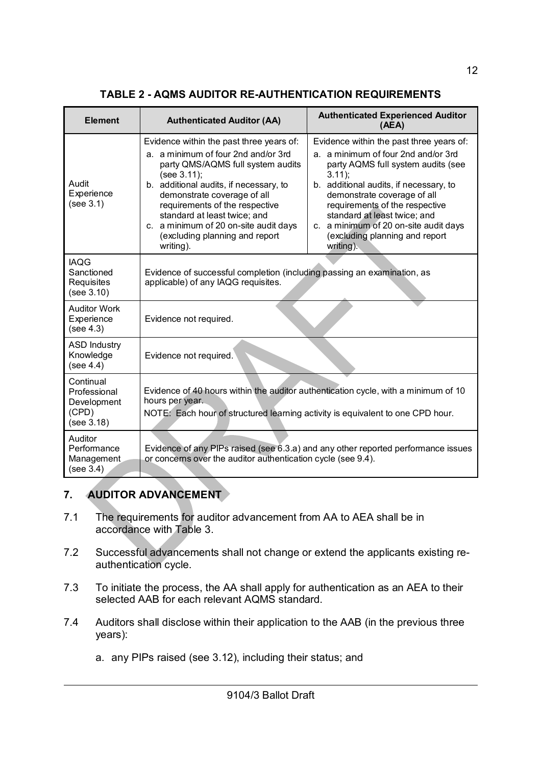| <b>Element</b>                                                  | <b>Authenticated Auditor (AA)</b>                                                                                                                                                                                                                                                                                                                                      | <b>Authenticated Experienced Auditor</b><br>(AEA)                                                                                                                                                                                                                                                                                                                    |  |
|-----------------------------------------------------------------|------------------------------------------------------------------------------------------------------------------------------------------------------------------------------------------------------------------------------------------------------------------------------------------------------------------------------------------------------------------------|----------------------------------------------------------------------------------------------------------------------------------------------------------------------------------------------------------------------------------------------------------------------------------------------------------------------------------------------------------------------|--|
| Audit<br>Experience<br>(see 3.1)                                | Evidence within the past three years of:<br>a. a minimum of four 2nd and/or 3rd<br>party QMS/AQMS full system audits<br>(see 3.11);<br>b. additional audits, if necessary, to<br>demonstrate coverage of all<br>requirements of the respective<br>standard at least twice; and<br>c. a minimum of 20 on-site audit days<br>(excluding planning and report<br>writing). | Evidence within the past three years of:<br>a. a minimum of four 2nd and/or 3rd<br>party AQMS full system audits (see<br>$3.11$ ;<br>b. additional audits, if necessary, to<br>demonstrate coverage of all<br>requirements of the respective<br>standard at least twice; and<br>c. a minimum of 20 on-site audit days<br>(excluding planning and report<br>writing). |  |
| <b>IAQG</b><br>Sanctioned<br>Requisites<br>(see 3.10)           | Evidence of successful completion (including passing an examination, as<br>applicable) of any IAQG requisites.                                                                                                                                                                                                                                                         |                                                                                                                                                                                                                                                                                                                                                                      |  |
| <b>Auditor Work</b><br>Experience<br>(see 4.3)                  | Evidence not required.                                                                                                                                                                                                                                                                                                                                                 |                                                                                                                                                                                                                                                                                                                                                                      |  |
| <b>ASD Industry</b><br>Knowledge<br>(see 4.4)                   | Evidence not required.                                                                                                                                                                                                                                                                                                                                                 |                                                                                                                                                                                                                                                                                                                                                                      |  |
| Continual<br>Professional<br>Development<br>(CPD)<br>(see 3.18) | Evidence of 40 hours within the auditor authentication cycle, with a minimum of 10<br>hours per year.<br>NOTE: Each hour of structured learning activity is equivalent to one CPD hour.                                                                                                                                                                                |                                                                                                                                                                                                                                                                                                                                                                      |  |
| Auditor<br>Performance<br>Management<br>(see 3.4)               | or concerns over the auditor authentication cycle (see 9.4).                                                                                                                                                                                                                                                                                                           | Evidence of any PIPs raised (see 6.3.a) and any other reported performance issues                                                                                                                                                                                                                                                                                    |  |

### **TABLE 2 - AQMS AUDITOR RE-AUTHENTICATION REQUIREMENTS**

### **7. AUDITOR ADVANCEMENT**

- 7.1 The requirements for auditor advancement from AA to AEA shall be in accordance with Table 3.
- 7.2 Successful advancements shall not change or extend the applicants existing reauthentication cycle.
- 7.3 To initiate the process, the AA shall apply for authentication as an AEA to their selected AAB for each relevant AQMS standard.
- 7.4 Auditors shall disclose within their application to the AAB (in the previous three years):
	- a. any PIPs raised (see 3.12), including their status; and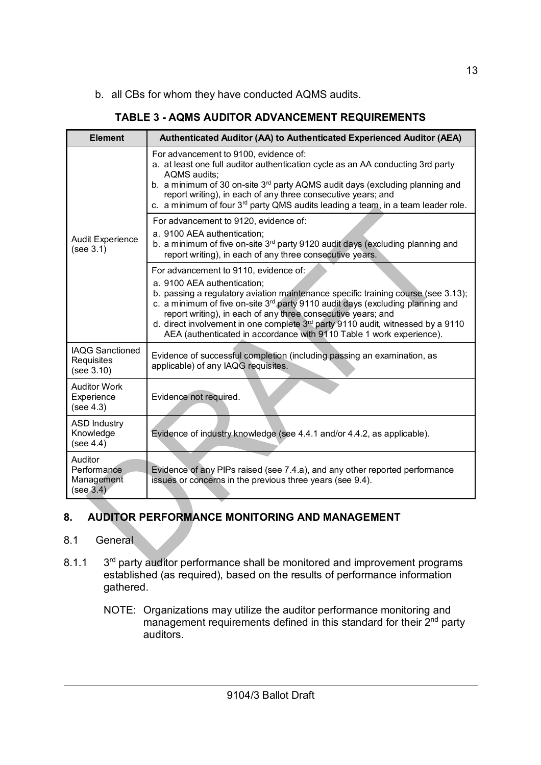b. all CBs for whom they have conducted AQMS audits.

| <b>Element</b>                                       | Authenticated Auditor (AA) to Authenticated Experienced Auditor (AEA)                                                                                                                                                                                                                                                                                                                                                                                                                          |
|------------------------------------------------------|------------------------------------------------------------------------------------------------------------------------------------------------------------------------------------------------------------------------------------------------------------------------------------------------------------------------------------------------------------------------------------------------------------------------------------------------------------------------------------------------|
|                                                      | For advancement to 9100, evidence of:<br>a. at least one full auditor authentication cycle as an AA conducting 3rd party<br>AQMS audits;<br>b. a minimum of 30 on-site 3 <sup>rd</sup> party AQMS audit days (excluding planning and<br>report writing), in each of any three consecutive years; and<br>c. a minimum of four $3rd$ party QMS audits leading a team, in a team leader role.                                                                                                     |
| <b>Audit Experience</b><br>(see 3.1)                 | For advancement to 9120, evidence of:<br>a. 9100 AEA authentication;<br>b. a minimum of five on-site 3 <sup>rd</sup> party 9120 audit days (excluding planning and<br>report writing), in each of any three consecutive years.                                                                                                                                                                                                                                                                 |
|                                                      | For advancement to 9110, evidence of:<br>a. 9100 AEA authentication;<br>b. passing a regulatory aviation maintenance specific training course (see 3.13);<br>c. a minimum of five on-site 3 <sup>rd</sup> party 9110 audit days (excluding planning and<br>report writing), in each of any three consecutive years; and<br>d. direct involvement in one complete 3 <sup>rd</sup> party 9110 audit, witnessed by a 9110<br>AEA (authenticated in accordance with 9110 Table 1 work experience). |
| <b>IAQG Sanctioned</b><br>Requisites<br>(see 3.10)   | Evidence of successful completion (including passing an examination, as<br>applicable) of any IAQG requisites.                                                                                                                                                                                                                                                                                                                                                                                 |
| <b>Auditor Work</b><br>Experience<br>(see 4.3)       | Evidence not required.                                                                                                                                                                                                                                                                                                                                                                                                                                                                         |
| <b>ASD Industry</b><br>Knowledge<br>(see 4.4)        | Evidence of industry knowledge (see 4.4.1 and/or 4.4.2, as applicable).                                                                                                                                                                                                                                                                                                                                                                                                                        |
| Auditor<br>Performance<br>Management<br>(see $3.4$ ) | Evidence of any PIPs raised (see 7.4.a), and any other reported performance<br>issues or concerns in the previous three years (see 9.4).                                                                                                                                                                                                                                                                                                                                                       |

### **TABLE 3 - AQMS AUDITOR ADVANCEMENT REQUIREMENTS**

# **8. AUDITOR PERFORMANCE MONITORING AND MANAGEMENT**

#### 8.1 General

- $8.1.1$ 3<sup>rd</sup> party auditor performance shall be monitored and improvement programs established (as required), based on the results of performance information gathered.
	- NOTE: Organizations may utilize the auditor performance monitoring and management requirements defined in this standard for their 2<sup>nd</sup> party auditors.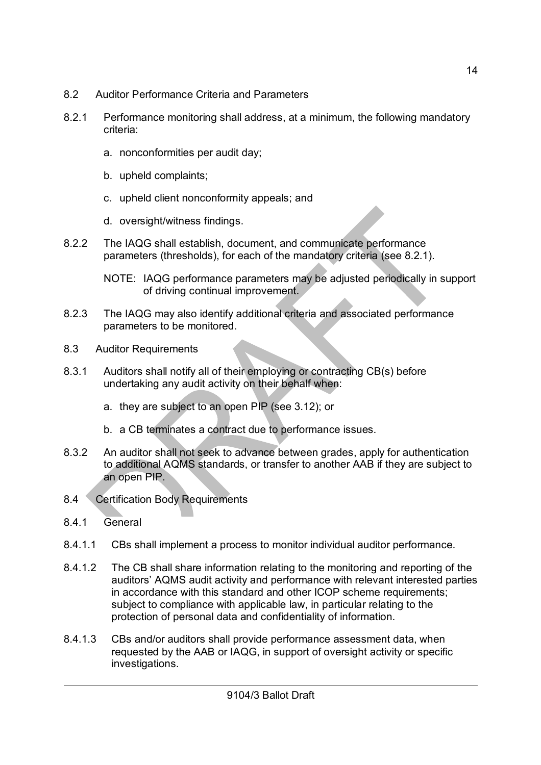- 8.2 Auditor Performance Criteria and Parameters
- 8.2.1 Performance monitoring shall address, at a minimum, the following mandatory criteria:
	- a. nonconformities per audit day;
	- b. upheld complaints;
	- c. upheld client nonconformity appeals; and
	- d. oversight/witness findings.
- 8.2.2 The IAQG shall establish, document, and communicate performance parameters (thresholds), for each of the mandatory criteria (see 8.2.1).

NOTE: IAQG performance parameters may be adjusted periodically in support of driving continual improvement.

- 8.2.3 The IAQG may also identify additional criteria and associated performance parameters to be monitored.
- 8.3 Auditor Requirements
- 8.3.1 Auditors shall notify all of their employing or contracting CB(s) before undertaking any audit activity on their behalf when:
	- a. they are subject to an open PIP (see 3.12); or
	- b. a CB terminates a contract due to performance issues.
- 8.3.2 An auditor shall not seek to advance between grades, apply for authentication to additional AQMS standards, or transfer to another AAB if they are subject to an open PIP.
- 8.4 Certification Body Requirements
- 8.4.1 General
- 8.4.1.1 CBs shall implement a process to monitor individual auditor performance.
- 8.4.1.2 The CB shall share information relating to the monitoring and reporting of the auditors' AQMS audit activity and performance with relevant interested parties in accordance with this standard and other ICOP scheme requirements; subject to compliance with applicable law, in particular relating to the protection of personal data and confidentiality of information.
- 8.4.1.3 CBs and/or auditors shall provide performance assessment data, when requested by the AAB or IAQG, in support of oversight activity or specific investigations.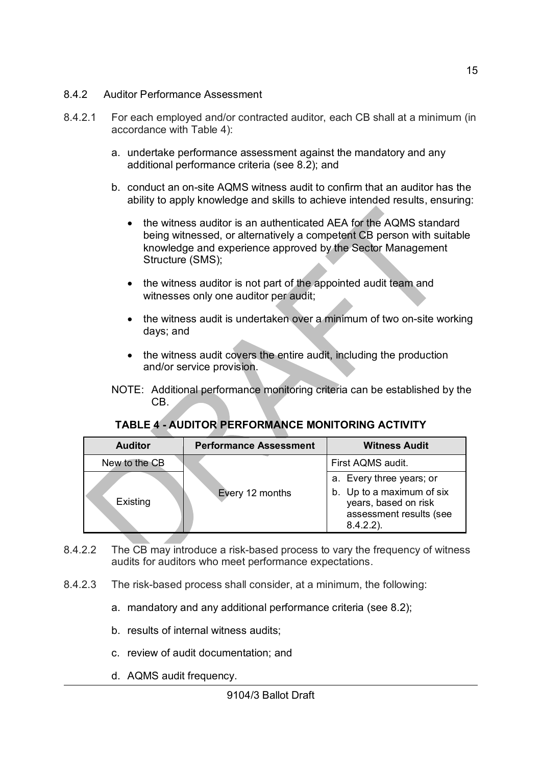#### 8.4.2 Auditor Performance Assessment

- 8.4.2.1 For each employed and/or contracted auditor, each CB shall at a minimum (in accordance with Table 4):
	- a. undertake performance assessment against the mandatory and any additional performance criteria (see 8.2); and
	- b. conduct an on-site AQMS witness audit to confirm that an auditor has the ability to apply knowledge and skills to achieve intended results, ensuring:
		- the witness auditor is an authenticated AEA for the AQMS standard being witnessed, or alternatively a competent CB person with suitable knowledge and experience approved by the Sector Management Structure (SMS);
		- the witness auditor is not part of the appointed audit team and witnesses only one auditor per audit;
		- the witness audit is undertaken over a minimum of two on-site working days; and
		- the witness audit covers the entire audit, including the production and/or service provision.
	- NOTE: Additional performance monitoring criteria can be established by the CB.

#### **TABLE 4 - AUDITOR PERFORMANCE MONITORING ACTIVITY**

| <b>Auditor</b> | <b>Performance Assessment</b> | <b>Witness Audit</b>                                                                                     |
|----------------|-------------------------------|----------------------------------------------------------------------------------------------------------|
| New to the CB  |                               | First AQMS audit.                                                                                        |
| Existing       | Every 12 months               | a. Every three years; or<br>b. Up to a maximum of six<br>years, based on risk<br>assessment results (see |
|                |                               | $8.4.2.2$ ).                                                                                             |

- 8.4.2.2 The CB may introduce a risk-based process to vary the frequency of witness audits for auditors who meet performance expectations.
- 8.4.2.3 The risk-based process shall consider, at a minimum, the following:
	- a. mandatory and any additional performance criteria (see 8.2);
	- b. results of internal witness audits;
	- c. review of audit documentation; and
	- d. AQMS audit frequency.

15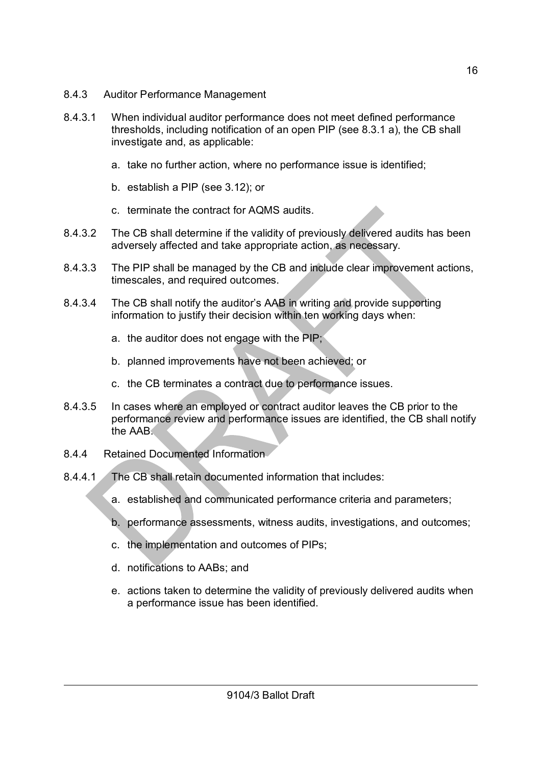- 8.4.3 Auditor Performance Management
- 8.4.3.1 When individual auditor performance does not meet defined performance thresholds, including notification of an open PIP (see 8.3.1 a), the CB shall investigate and, as applicable:
	- a. take no further action, where no performance issue is identified;
	- b. establish a PIP (see 3.12); or
	- c. terminate the contract for AQMS audits.
- 8.4.3.2 The CB shall determine if the validity of previously delivered audits has been adversely affected and take appropriate action, as necessary.
- 8.4.3.3 The PIP shall be managed by the CB and include clear improvement actions, timescales, and required outcomes.
- 8.4.3.4 The CB shall notify the auditor's AAB in writing and provide supporting information to justify their decision within ten working days when:
	- a. the auditor does not engage with the PIP;
	- b. planned improvements have not been achieved; or
	- c. the CB terminates a contract due to performance issues.
- 8.4.3.5 In cases where an employed or contract auditor leaves the CB prior to the performance review and performance issues are identified, the CB shall notify the AAB.
- 8.4.4 Retained Documented Information
- 8.4.4.1 The CB shall retain documented information that includes:
	- a. established and communicated performance criteria and parameters;
	- b. performance assessments, witness audits, investigations, and outcomes;
	- c. the implementation and outcomes of PIPs;
	- d. notifications to AABs; and
	- e. actions taken to determine the validity of previously delivered audits when a performance issue has been identified.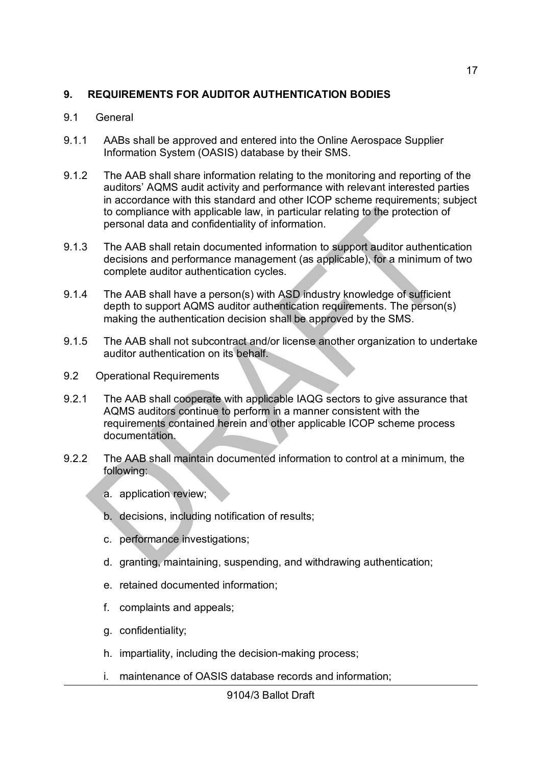#### **9. REQUIREMENTS FOR AUDITOR AUTHENTICATION BODIES**

#### 9.1 General

- 9.1.1 AABs shall be approved and entered into the Online Aerospace Supplier Information System (OASIS) database by their SMS.
- 9.1.2 The AAB shall share information relating to the monitoring and reporting of the auditors' AQMS audit activity and performance with relevant interested parties in accordance with this standard and other ICOP scheme requirements; subject to compliance with applicable law, in particular relating to the protection of personal data and confidentiality of information.
- 9.1.3 The AAB shall retain documented information to support auditor authentication decisions and performance management (as applicable), for a minimum of two complete auditor authentication cycles.
- 9.1.4 The AAB shall have a person(s) with ASD industry knowledge of sufficient depth to support AQMS auditor authentication requirements. The person(s) making the authentication decision shall be approved by the SMS.
- 9.1.5 The AAB shall not subcontract and/or license another organization to undertake auditor authentication on its behalf.
- 9.2 Operational Requirements
- 9.2.1 The AAB shall cooperate with applicable IAQG sectors to give assurance that AQMS auditors continue to perform in a manner consistent with the requirements contained herein and other applicable ICOP scheme process documentation.
- 9.2.2 The AAB shall maintain documented information to control at a minimum, the following:
	- a. application review;
	- b. decisions, including notification of results;
	- c. performance investigations;
	- d. granting, maintaining, suspending, and withdrawing authentication;
	- e. retained documented information;
	- f. complaints and appeals;
	- g. confidentiality;
	- h. impartiality, including the decision-making process;
	- i. maintenance of OASIS database records and information;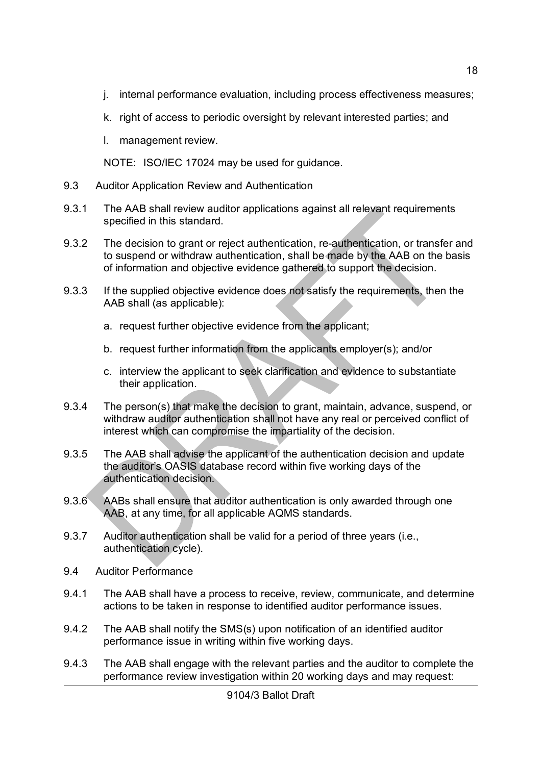- j. internal performance evaluation, including process effectiveness measures;
- k. right of access to periodic oversight by relevant interested parties; and
- l. management review.

NOTE: ISO/IEC 17024 may be used for guidance.

- 9.3 Auditor Application Review and Authentication
- 9.3.1 The AAB shall review auditor applications against all relevant requirements specified in this standard.
- 9.3.2 The decision to grant or reject authentication, re-authentication, or transfer and to suspend or withdraw authentication, shall be made by the AAB on the basis of information and objective evidence gathered to support the decision.
- 9.3.3 If the supplied objective evidence does not satisfy the requirements, then the AAB shall (as applicable):
	- a. request further objective evidence from the applicant;
	- b. request further information from the applicants employer(s); and/or
	- c. interview the applicant to seek clarification and evidence to substantiate their application.
- 9.3.4 The person(s) that make the decision to grant, maintain, advance, suspend, or withdraw auditor authentication shall not have any real or perceived conflict of interest which can compromise the impartiality of the decision.
- 9.3.5 The AAB shall advise the applicant of the authentication decision and update the auditor's OASIS database record within five working days of the authentication decision.
- 9.3.6 AABs shall ensure that auditor authentication is only awarded through one AAB, at any time, for all applicable AQMS standards.
- 9.3.7 Auditor authentication shall be valid for a period of three years (i.e., authentication cycle).
- 9.4 Auditor Performance
- 9.4.1 The AAB shall have a process to receive, review, communicate, and determine actions to be taken in response to identified auditor performance issues.
- 9.4.2 The AAB shall notify the SMS(s) upon notification of an identified auditor performance issue in writing within five working days.
- 9.4.3 The AAB shall engage with the relevant parties and the auditor to complete the performance review investigation within 20 working days and may request:

18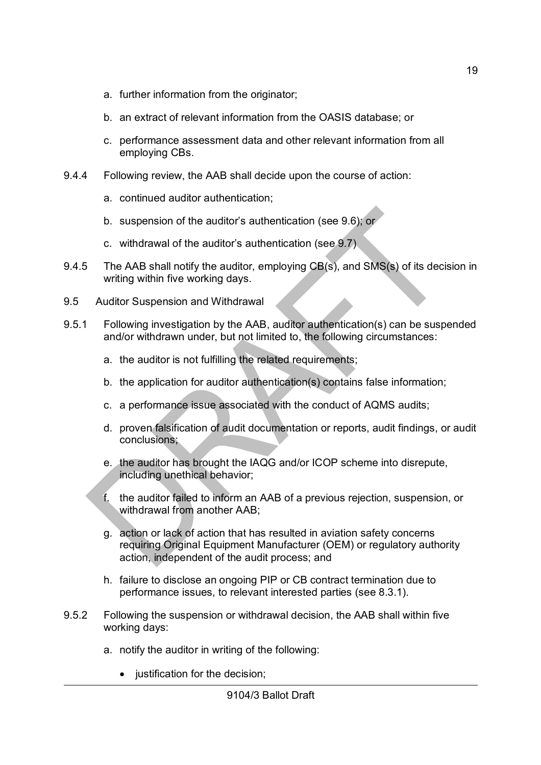- a. further information from the originator;
- b. an extract of relevant information from the OASIS database; or
- c. performance assessment data and other relevant information from all employing CBs.
- 9.4.4 Following review, the AAB shall decide upon the course of action:
	- a. continued auditor authentication;
	- b. suspension of the auditor's authentication (see 9.6); or
	- c. withdrawal of the auditor's authentication (see 9.7)
- 9.4.5 The AAB shall notify the auditor, employing CB(s), and SMS(s) of its decision in writing within five working days.
- 9.5 Auditor Suspension and Withdrawal
- 9.5.1 Following investigation by the AAB, auditor authentication(s) can be suspended and/or withdrawn under, but not limited to, the following circumstances:
	- a. the auditor is not fulfilling the related requirements;
	- b. the application for auditor authentication(s) contains false information;
	- c. a performance issue associated with the conduct of AQMS audits;
	- d. proven falsification of audit documentation or reports, audit findings, or audit conclusions;
	- e. the auditor has brought the IAQG and/or ICOP scheme into disrepute, including unethical behavior;
	- f. the auditor failed to inform an AAB of a previous rejection, suspension, or withdrawal from another AAB;
	- g. action or lack of action that has resulted in aviation safety concerns requiring Original Equipment Manufacturer (OEM) or regulatory authority action, independent of the audit process; and
	- h. failure to disclose an ongoing PIP or CB contract termination due to performance issues, to relevant interested parties (see 8.3.1).
- 9.5.2 Following the suspension or withdrawal decision, the AAB shall within five working days:
	- a. notify the auditor in writing of the following:
		- justification for the decision: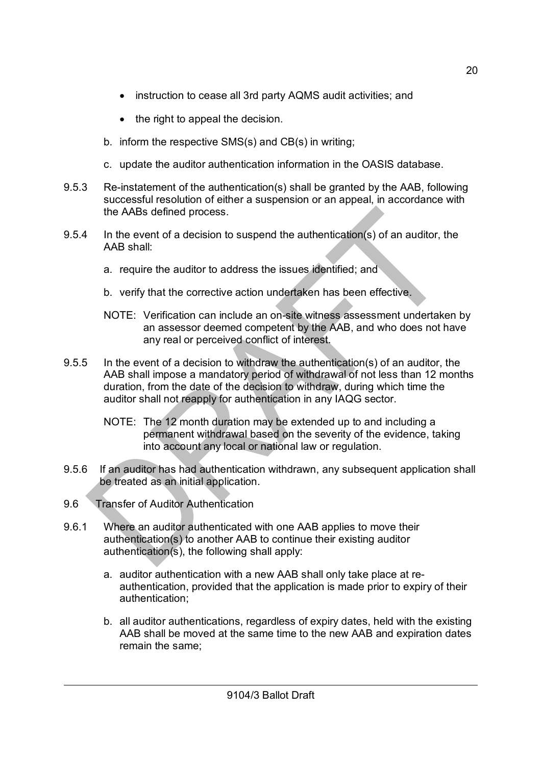- instruction to cease all 3rd party AQMS audit activities; and
- $\bullet$  the right to appeal the decision.
- b. inform the respective SMS(s) and CB(s) in writing;
- c. update the auditor authentication information in the OASIS database.
- 9.5.3 Re-instatement of the authentication(s) shall be granted by the AAB, following successful resolution of either a suspension or an appeal, in accordance with the AABs defined process.
- 9.5.4 In the event of a decision to suspend the authentication(s) of an auditor, the AAB shall:
	- a. require the auditor to address the issues identified; and
	- b. verify that the corrective action undertaken has been effective.
	- NOTE: Verification can include an on-site witness assessment undertaken by an assessor deemed competent by the AAB, and who does not have any real or perceived conflict of interest.
- 9.5.5 In the event of a decision to withdraw the authentication(s) of an auditor, the AAB shall impose a mandatory period of withdrawal of not less than 12 months duration, from the date of the decision to withdraw, during which time the auditor shall not reapply for authentication in any IAQG sector.
	- NOTE: The 12 month duration may be extended up to and including a permanent withdrawal based on the severity of the evidence, taking into account any local or national law or regulation.
- 9.5.6 If an auditor has had authentication withdrawn, any subsequent application shall be treated as an initial application.
- 9.6 Transfer of Auditor Authentication
- 9.6.1 Where an auditor authenticated with one AAB applies to move their authentication(s) to another AAB to continue their existing auditor authentication(s), the following shall apply:
	- a. auditor authentication with a new AAB shall only take place at reauthentication, provided that the application is made prior to expiry of their authentication;
	- b. all auditor authentications, regardless of expiry dates, held with the existing AAB shall be moved at the same time to the new AAB and expiration dates remain the same;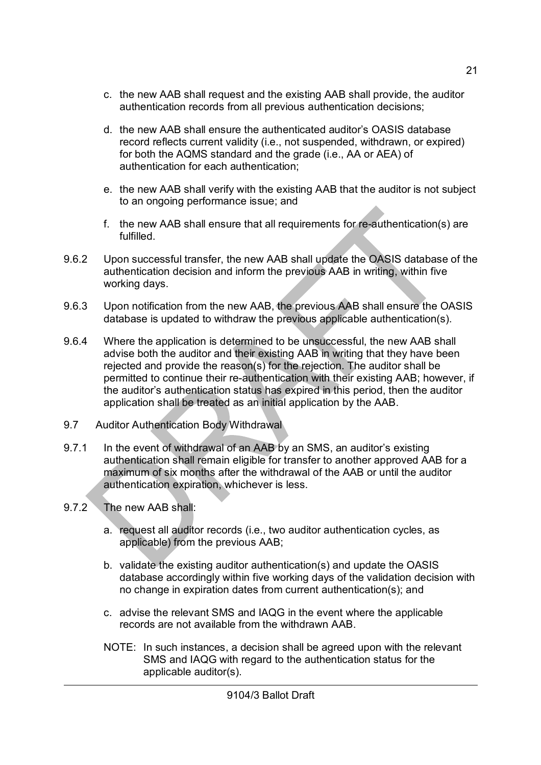- c. the new AAB shall request and the existing AAB shall provide, the auditor authentication records from all previous authentication decisions;
- d. the new AAB shall ensure the authenticated auditor's OASIS database record reflects current validity (i.e., not suspended, withdrawn, or expired) for both the AQMS standard and the grade (i.e., AA or AEA) of authentication for each authentication;
- e. the new AAB shall verify with the existing AAB that the auditor is not subject to an ongoing performance issue; and
- f. the new AAB shall ensure that all requirements for re-authentication(s) are fulfilled.
- 9.6.2 Upon successful transfer, the new AAB shall update the OASIS database of the authentication decision and inform the previous AAB in writing, within five working days.
- 9.6.3 Upon notification from the new AAB, the previous AAB shall ensure the OASIS database is updated to withdraw the previous applicable authentication(s).
- 9.6.4 Where the application is determined to be unsuccessful, the new AAB shall advise both the auditor and their existing AAB in writing that they have been rejected and provide the reason(s) for the rejection. The auditor shall be permitted to continue their re-authentication with their existing AAB; however, if the auditor's authentication status has expired in this period, then the auditor application shall be treated as an initial application by the AAB.
- 9.7 Auditor Authentication Body Withdrawal
- 9.7.1 In the event of withdrawal of an AAB by an SMS, an auditor's existing authentication shall remain eligible for transfer to another approved AAB for a maximum of six months after the withdrawal of the AAB or until the auditor authentication expiration, whichever is less.
- 9.7.2 The new AAB shall:
	- a. request all auditor records (i.e., two auditor authentication cycles, as applicable) from the previous AAB;
	- b. validate the existing auditor authentication(s) and update the OASIS database accordingly within five working days of the validation decision with no change in expiration dates from current authentication(s); and
	- c. advise the relevant SMS and IAQG in the event where the applicable records are not available from the withdrawn AAB.
	- NOTE: In such instances, a decision shall be agreed upon with the relevant SMS and IAQG with regard to the authentication status for the applicable auditor(s).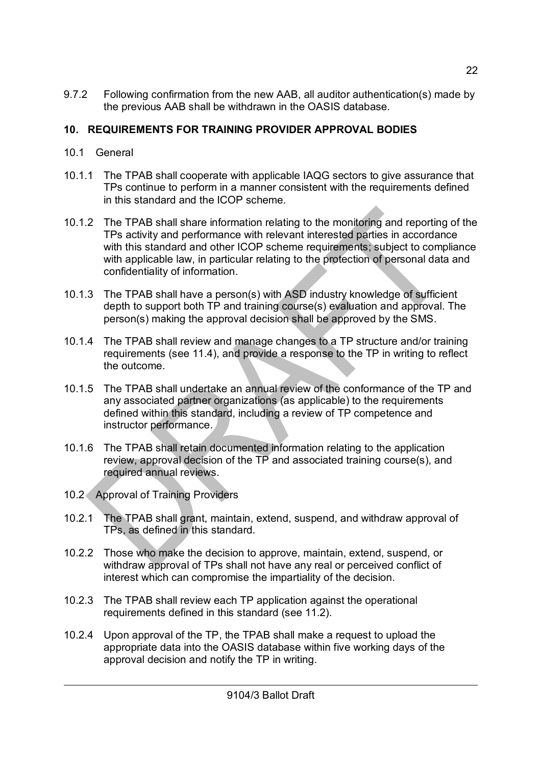9.7.2 Following confirmation from the new AAB, all auditor authentication(s) made by the previous AAB shall be withdrawn in the OASIS database.

### **10. REQUIREMENTS FOR TRAINING PROVIDER APPROVAL BODIES**

- 10.1 General
- 10.1.1 The TPAB shall cooperate with applicable IAQG sectors to give assurance that TPs continue to perform in a manner consistent with the requirements defined in this standard and the ICOP scheme.
- 10.1.2 The TPAB shall share information relating to the monitoring and reporting of the TPs activity and performance with relevant interested parties in accordance with this standard and other ICOP scheme requirements; subject to compliance with applicable law, in particular relating to the protection of personal data and confidentiality of information.
- 10.1.3 The TPAB shall have a person(s) with ASD industry knowledge of sufficient depth to support both TP and training course(s) evaluation and approval. The person(s) making the approval decision shall be approved by the SMS.
- 10.1.4 The TPAB shall review and manage changes to a TP structure and/or training requirements (see 11.4), and provide a response to the TP in writing to reflect the outcome.
- 10.1.5 The TPAB shall undertake an annual review of the conformance of the TP and any associated partner organizations (as applicable) to the requirements defined within this standard, including a review of TP competence and instructor performance.
- 10.1.6 The TPAB shall retain documented information relating to the application review, approval decision of the TP and associated training course(s), and required annual reviews.
- 10.2 Approval of Training Providers
- 10.2.1 The TPAB shall grant, maintain, extend, suspend, and withdraw approval of TPs, as defined in this standard.
- 10.2.2 Those who make the decision to approve, maintain, extend, suspend, or withdraw approval of TPs shall not have any real or perceived conflict of interest which can compromise the impartiality of the decision.
- 10.2.3 The TPAB shall review each TP application against the operational requirements defined in this standard (see 11.2).
- 10.2.4 Upon approval of the TP, the TPAB shall make a request to upload the appropriate data into the OASIS database within five working days of the approval decision and notify the TP in writing.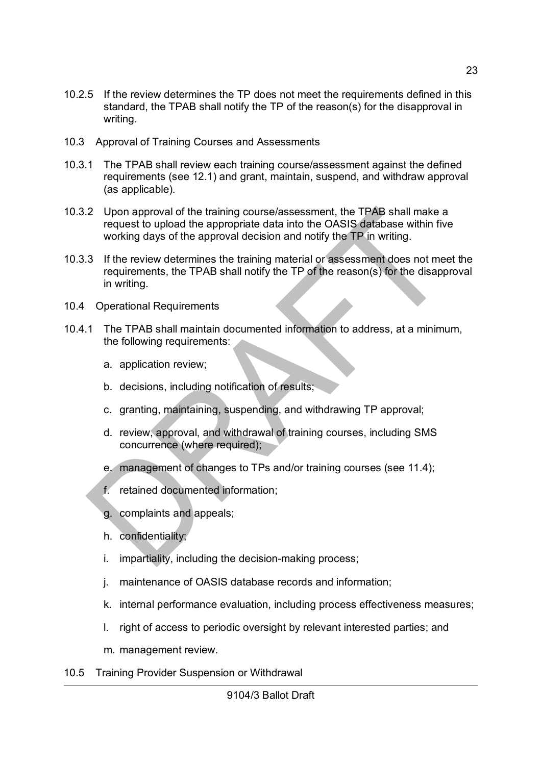- 10.2.5 If the review determines the TP does not meet the requirements defined in this standard, the TPAB shall notify the TP of the reason(s) for the disapproval in writing.
- 10.3 Approval of Training Courses and Assessments
- 10.3.1 The TPAB shall review each training course/assessment against the defined requirements (see 12.1) and grant, maintain, suspend, and withdraw approval (as applicable).
- 10.3.2 Upon approval of the training course/assessment, the TPAB shall make a request to upload the appropriate data into the OASIS database within five working days of the approval decision and notify the TP in writing.
- 10.3.3 If the review determines the training material or assessment does not meet the requirements, the TPAB shall notify the TP of the reason(s) for the disapproval in writing.
- 10.4 Operational Requirements
- 10.4.1 The TPAB shall maintain documented information to address, at a minimum, the following requirements:
	- a. application review;
	- b. decisions, including notification of results;
	- c. granting, maintaining, suspending, and withdrawing TP approval;
	- d. review, approval, and withdrawal of training courses, including SMS concurrence (where required);
	- e. management of changes to TPs and/or training courses (see 11.4);
	- f. retained documented information;
	- g. complaints and appeals;
	- h. confidentiality;
	- i. impartiality, including the decision-making process;
	- j. maintenance of OASIS database records and information;
	- k. internal performance evaluation, including process effectiveness measures;
	- l. right of access to periodic oversight by relevant interested parties; and
	- m. management review.
- 10.5 Training Provider Suspension or Withdrawal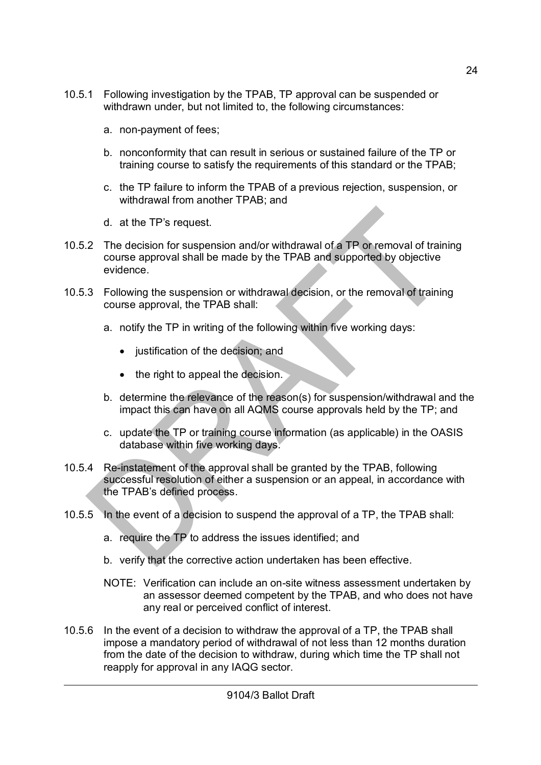- 10.5.1 Following investigation by the TPAB, TP approval can be suspended or withdrawn under, but not limited to, the following circumstances:
	- a. non-payment of fees;
	- b. nonconformity that can result in serious or sustained failure of the TP or training course to satisfy the requirements of this standard or the TPAB;
	- c. the TP failure to inform the TPAB of a previous rejection, suspension, or withdrawal from another TPAB; and
	- d. at the TP's request.
- 10.5.2 The decision for suspension and/or withdrawal of a TP or removal of training course approval shall be made by the TPAB and supported by objective evidence.
- 10.5.3 Following the suspension or withdrawal decision, or the removal of training course approval, the TPAB shall:
	- a. notify the TP in writing of the following within five working days:
		- justification of the decision; and
		- the right to appeal the decision.
	- b. determine the relevance of the reason(s) for suspension/withdrawal and the impact this can have on all AQMS course approvals held by the TP; and
	- c. update the TP or training course information (as applicable) in the OASIS database within five working days.
- 10.5.4 Re-instatement of the approval shall be granted by the TPAB, following successful resolution of either a suspension or an appeal, in accordance with the TPAB's defined process.
- 10.5.5 In the event of a decision to suspend the approval of a TP, the TPAB shall:
	- a. require the TP to address the issues identified; and
	- b. verify that the corrective action undertaken has been effective.
	- NOTE: Verification can include an on-site witness assessment undertaken by an assessor deemed competent by the TPAB, and who does not have any real or perceived conflict of interest.
- 10.5.6 In the event of a decision to withdraw the approval of a TP, the TPAB shall impose a mandatory period of withdrawal of not less than 12 months duration from the date of the decision to withdraw, during which time the TP shall not reapply for approval in any IAQG sector.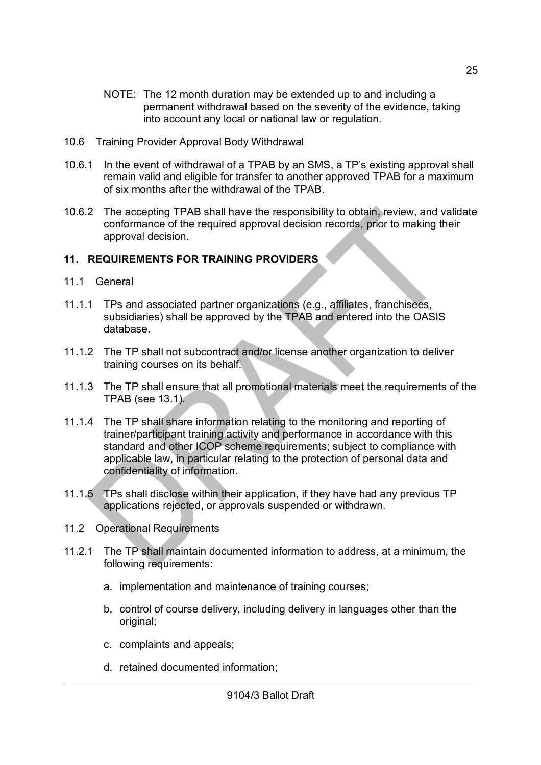- NOTE: The 12 month duration may be extended up to and including a permanent withdrawal based on the severity of the evidence, taking into account any local or national law or regulation.
- 10.6 Training Provider Approval Body Withdrawal
- 10.6.1 In the event of withdrawal of a TPAB by an SMS, a TP's existing approval shall remain valid and eligible for transfer to another approved TPAB for a maximum of six months after the withdrawal of the TPAB.
- 10.6.2 The accepting TPAB shall have the responsibility to obtain, review, and validate conformance of the required approval decision records, prior to making their approval decision.

#### **11. REQUIREMENTS FOR TRAINING PROVIDERS**

- 11.1 General
- 11.1.1 TPs and associated partner organizations (e.g., affiliates, franchisees, subsidiaries) shall be approved by the TPAB and entered into the OASIS database.
- 11.1.2 The TP shall not subcontract and/or license another organization to deliver training courses on its behalf.
- 11.1.3 The TP shall ensure that all promotional materials meet the requirements of the TPAB (see 13.1).
- 11.1.4 The TP shall share information relating to the monitoring and reporting of trainer/participant training activity and performance in accordance with this standard and other ICOP scheme requirements; subject to compliance with applicable law, in particular relating to the protection of personal data and confidentiality of information.
- 11.1.5 TPs shall disclose within their application, if they have had any previous TP applications rejected, or approvals suspended or withdrawn.
- 11.2 Operational Requirements
- 11.2.1 The TP shall maintain documented information to address, at a minimum, the following requirements:
	- a. implementation and maintenance of training courses;
	- b. control of course delivery, including delivery in languages other than the original;
	- c. complaints and appeals;
	- d. retained documented information;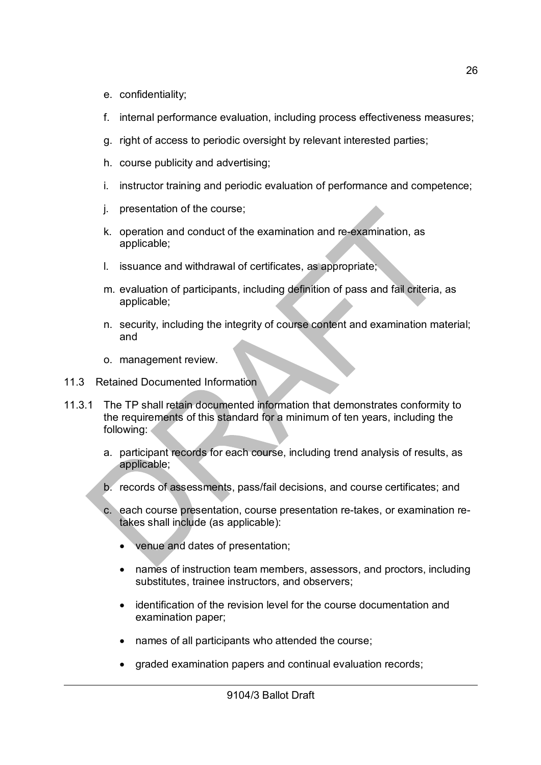- e. confidentiality;
- f. internal performance evaluation, including process effectiveness measures;
- g. right of access to periodic oversight by relevant interested parties;
- h. course publicity and advertising;
- i. instructor training and periodic evaluation of performance and competence;
- j. presentation of the course;
- k. operation and conduct of the examination and re-examination, as applicable;
- l. issuance and withdrawal of certificates, as appropriate;
- m. evaluation of participants, including definition of pass and fail criteria, as applicable;
- n. security, including the integrity of course content and examination material; and
- o. management review.
- 11.3 Retained Documented Information
- 11.3.1 The TP shall retain documented information that demonstrates conformity to the requirements of this standard for a minimum of ten years, including the following:
	- a. participant records for each course, including trend analysis of results, as applicable;
	- b. records of assessments, pass/fail decisions, and course certificates; and
	- c. each course presentation, course presentation re-takes, or examination retakes shall include (as applicable):
		- venue and dates of presentation;
		- names of instruction team members, assessors, and proctors, including substitutes, trainee instructors, and observers;
		- identification of the revision level for the course documentation and examination paper;
		- names of all participants who attended the course;
		- graded examination papers and continual evaluation records;

26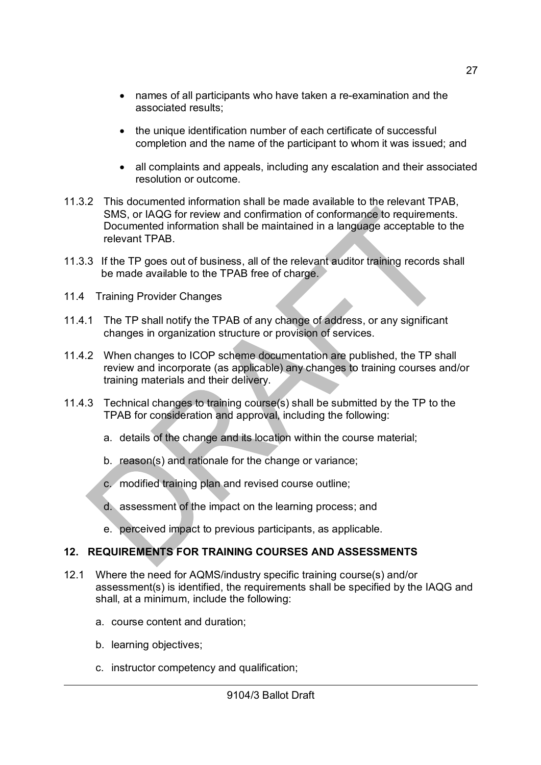- names of all participants who have taken a re-examination and the associated results;
- the unique identification number of each certificate of successful completion and the name of the participant to whom it was issued; and
- all complaints and appeals, including any escalation and their associated resolution or outcome.
- 11.3.2 This documented information shall be made available to the relevant TPAB, SMS, or IAQG for review and confirmation of conformance to requirements. Documented information shall be maintained in a language acceptable to the relevant TPAB.
- 11.3.3 If the TP goes out of business, all of the relevant auditor training records shall be made available to the TPAB free of charge.
- 11.4 Training Provider Changes
- 11.4.1 The TP shall notify the TPAB of any change of address, or any significant changes in organization structure or provision of services.
- 11.4.2 When changes to ICOP scheme documentation are published, the TP shall review and incorporate (as applicable) any changes to training courses and/or training materials and their delivery.
- 11.4.3 Technical changes to training course(s) shall be submitted by the TP to the TPAB for consideration and approval, including the following:
	- a. details of the change and its location within the course material;
	- b. reason(s) and rationale for the change or variance;
	- c. modified training plan and revised course outline;
	- d. assessment of the impact on the learning process; and
	- e. perceived impact to previous participants, as applicable.

#### **12. REQUIREMENTS FOR TRAINING COURSES AND ASSESSMENTS**

- 12.1 Where the need for AQMS/industry specific training course(s) and/or assessment(s) is identified, the requirements shall be specified by the IAQG and shall, at a minimum, include the following:
	- a. course content and duration;
	- b. learning objectives;
	- c. instructor competency and qualification;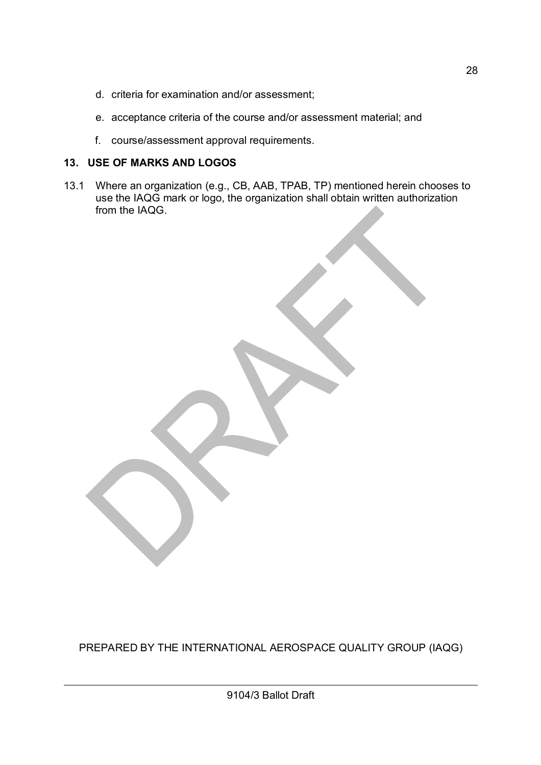- d. criteria for examination and/or assessment;
- e. acceptance criteria of the course and/or assessment material; and
- f. course/assessment approval requirements.

### **13. USE OF MARKS AND LOGOS**

13.1 Where an organization (e.g., CB, AAB, TPAB, TP) mentioned herein chooses to use the IAQG mark or logo, the organization shall obtain written authorization from the IAQG.

PREPARED BY THE INTERNATIONAL AEROSPACE QUALITY GROUP (IAQG)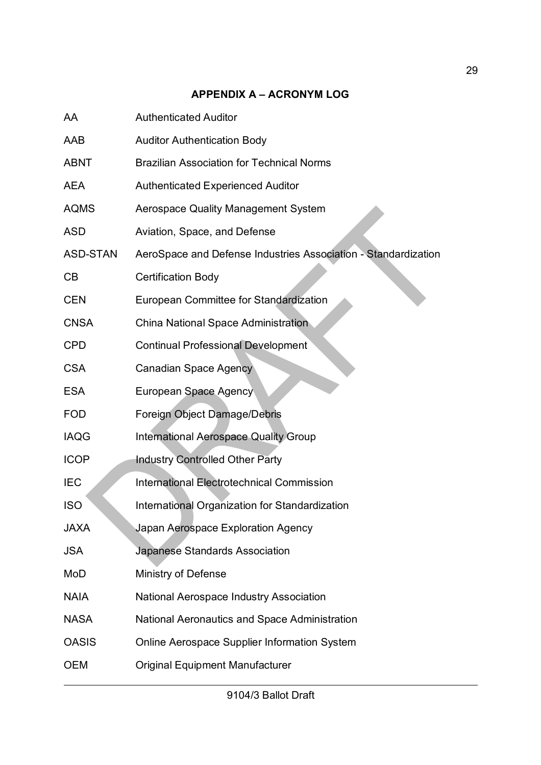### **APPENDIX A – ACRONYM LOG**

| AA              | <b>Authenticated Auditor</b>                                   |
|-----------------|----------------------------------------------------------------|
| AAB             | <b>Auditor Authentication Body</b>                             |
| <b>ABNT</b>     | <b>Brazilian Association for Technical Norms</b>               |
| <b>AEA</b>      | <b>Authenticated Experienced Auditor</b>                       |
| <b>AQMS</b>     | <b>Aerospace Quality Management System</b>                     |
| <b>ASD</b>      | Aviation, Space, and Defense                                   |
| <b>ASD-STAN</b> | AeroSpace and Defense Industries Association - Standardization |
| CB              | <b>Certification Body</b>                                      |
| <b>CEN</b>      | European Committee for Standardization                         |
| <b>CNSA</b>     | <b>China National Space Administration</b>                     |
| <b>CPD</b>      | <b>Continual Professional Development</b>                      |
| <b>CSA</b>      | <b>Canadian Space Agency</b>                                   |
| <b>ESA</b>      | European Space Agency                                          |
| <b>FOD</b>      | Foreign Object Damage/Debris                                   |
| <b>IAQG</b>     | <b>International Aerospace Quality Group</b>                   |
| <b>ICOP</b>     | <b>Industry Controlled Other Party</b>                         |
| <b>IEC</b>      | <b>International Electrotechnical Commission</b>               |
| <b>ISO</b>      | International Organization for Standardization                 |
| <b>JAXA</b>     | Japan Aerospace Exploration Agency                             |
| <b>JSA</b>      | <b>Japanese Standards Association</b>                          |
| MoD             | Ministry of Defense                                            |
| <b>NAIA</b>     | National Aerospace Industry Association                        |
| <b>NASA</b>     | National Aeronautics and Space Administration                  |
| <b>OASIS</b>    | <b>Online Aerospace Supplier Information System</b>            |
| <b>OEM</b>      | <b>Original Equipment Manufacturer</b>                         |
|                 |                                                                |